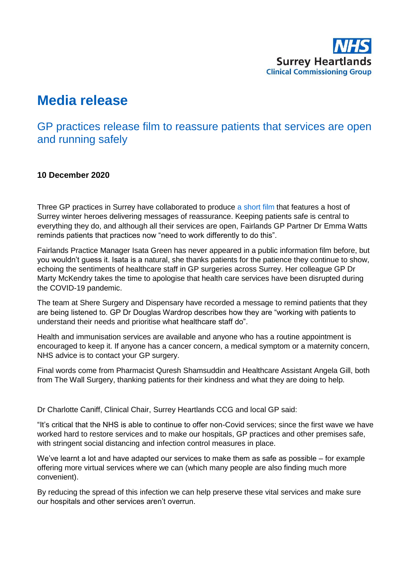

# **Media release**

## GP practices release film to reassure patients that services are open and running safely

### **10 December 2020**

Three GP practices in Surrey have collaborated to produce [a short film](https://www.youtube.com/watch?v=5gA8kMtIpfQ&feature=youtu.be) that features a host of Surrey winter heroes delivering messages of reassurance. Keeping patients safe is central to everything they do, and although all their services are open, Fairlands GP Partner Dr Emma Watts reminds patients that practices now "need to work differently to do this".

Fairlands Practice Manager Isata Green has never appeared in a public information film before, but you wouldn't guess it. Isata is a natural, she thanks patients for the patience they continue to show, echoing the sentiments of healthcare staff in GP surgeries across Surrey. Her colleague GP Dr Marty McKendry takes the time to apologise that health care services have been disrupted during the COVID-19 pandemic.

The team at Shere Surgery and Dispensary have recorded a message to remind patients that they are being listened to. GP Dr Douglas Wardrop describes how they are "working with patients to understand their needs and prioritise what healthcare staff do".

Health and immunisation services are available and anyone who has a routine appointment is encouraged to keep it. If anyone has a cancer concern, a medical symptom or a maternity concern, NHS advice is to contact your GP surgery.

Final words come from Pharmacist Quresh Shamsuddin and Healthcare Assistant Angela Gill, both from The Wall Surgery, thanking patients for their kindness and what they are doing to help.

Dr Charlotte Caniff, Clinical Chair, Surrey Heartlands CCG and local GP said:

"It's critical that the NHS is able to continue to offer non-Covid services; since the first wave we have worked hard to restore services and to make our hospitals, GP practices and other premises safe, with stringent social distancing and infection control measures in place.

We've learnt a lot and have adapted our services to make them as safe as possible – for example offering more virtual services where we can (which many people are also finding much more convenient).

By reducing the spread of this infection we can help preserve these vital services and make sure our hospitals and other services aren't overrun.